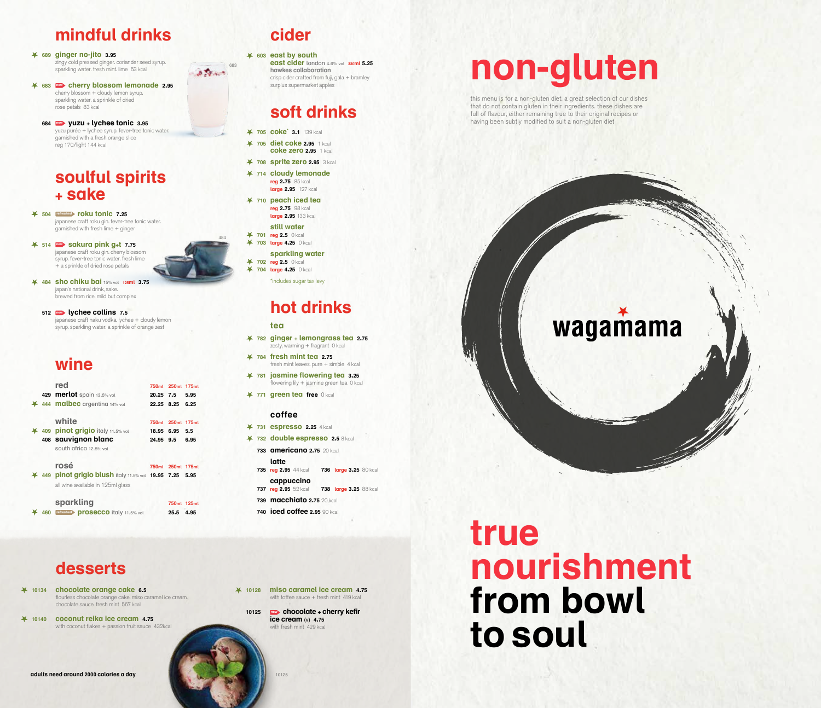# **mindful drinks**

 **689 ginger no-jito 3.95** zingy cold pressed ginger. coriander seed syrup. sparkling water. fresh mint. lime 63 kcal

- **683 new cherry blossom lemonade 2.95** cherry blossom + cloudy lemon syrup. sparkling water. a sprinkle of dried rose petals 83 kcal
- **684 new yuzu + lychee tonic 3.95** yuzu purée + lychee syrup. fever-tree tonic water. garnished with a fresh orange slice reg 170/light 144 kcal

### **soulful spirits + sake**

 **504 refreshed roku tonic 7.25** japanese craft roku gin. fever-tree tonic water. garnished with fresh lime + ginger

 **514 new sakura pink g+t 7.75** japanese craft roku gin. cherry blossom syrup. fever-tree tonic water. fresh lime + a sprinkle of dried rose petals



 **512 new lychee collins 7.5** japanese craft haku vodka. lychee + cloudy lemon syrup. sparkling water. a sprinkle of orange zest

# **wine**

|     | red                                                             | 750 <sub>ml</sub> | 250 <sub>ml</sub> | <b>175ml</b> |  |
|-----|-----------------------------------------------------------------|-------------------|-------------------|--------------|--|
|     | 429 merlot spain 13.5% vol                                      | 20.25 7.5         |                   | 5.95         |  |
|     | 444 malbec argentina 14% vol                                    | 22.25 8.25        |                   | 6.25         |  |
|     | white                                                           | 750 <sub>ml</sub> | <b>250ml</b>      | <b>175ml</b> |  |
|     | 44 409 pinot grigio italy 11.5% vol                             | 18.95 6.95        |                   | 5.5          |  |
|     | 408 sauvignon blanc                                             | 24.95 9.5         |                   | 6.95         |  |
|     | south africa 12.5% vol                                          |                   |                   |              |  |
|     | rosé                                                            | 750 <sub>ml</sub> | 250ml 175ml       |              |  |
|     | 449 <b>pinot grigio blush</b> italy 11.5% vol <b>19.95 7.25</b> |                   |                   | 5.95         |  |
|     | all wine available in 125ml glass                               |                   |                   |              |  |
|     | sparkling                                                       |                   | 750ml 125ml       |              |  |
| 460 | refreshed <b>prosecco</b> italy 11.5% vol                       |                   | 25.5              | 4.95         |  |

# **desserts**

 **10134 chocolate orange cake 6.5** flourless chocolate orange cake. miso caramel ice cream. chocolate sauce. fresh mint 567 kcal

 **10140 coconut reika ice cream 4.75** with coconut flakes + passion fruit sauce 432kcal

# **cider**

683

**A TANK** 

484

 **603 east by south east cider** london 4.6% vol **330ml 5.25 hawkes collaboration** crisp cider crafted from fuji, gala + bramley surplus supermarket apples

# **soft drinks**

- **705 coke\* 3.1** 139 kcal
- **705 diet coke 2.95** 1 kcal **coke zero 2.95** 1 kcal
- **708 sprite zero 2.95** 3 kcal
- **714 cloudy lemonade reg 2.75** 85 kcal  **large 2.95** 127 kcal
- **710 peach iced tea reg 2.75** 98 kcal
	- **large 2.95** 133 kcal **still water**
- **701 reg 2.5** 0 kcal
- **703 large 4.25** 0 kcal
- **sparkling water 702 reg 2.5** 0 kcal
- **704 large 4.25** 0 kcal
	- \*includes sugar tax levy

# **hot drinks**

#### **tea**

- **782 ginger + lemongrass tea 2.75** zesty, warming + fragrant 0 kcal
- **784 fresh mint tea 2.75** fresh mint leaves, pure + simple 4 kcal
- **781 jasmine flowering tea 3.25** flowering lily + jasmine green tea 0 kcal
- **771 green tea free** 0 kcal

#### **coffee**

- **731 espresso 2.25** 4 kcal
- **732 double espresso 2.5** 8 kcal
	- **733 americano 2.75** 20 kcal **latte**<br>**735 reg 2.95** 44 kcal  **735 reg 2.95** 44 kcal **736 large 3.25** 80 kcal  **cappuccino 737 reg 2.95** 52 kcal **738 large 3.25** 88 kcal
	- **739 macchiato 2.75** 20 kcal  **740 iced coffee 2.95** 90 kcal

# **true nourishment from bowl to soul**



this menu is for a non-gluten diet. a great selection of our dishes that do not contain gluten in their ingredients. these dishes are full of flavour, either remaining true to their original recipes or having been subtly modified to suit a non-gluten diet

# wagamama



 **10128 miso caramel ice cream 4.75** with toffee sauce + fresh mint 419 kcal

**10125 new chocolate + cherry kefir ice cream** (v) **4.75** with fresh mint 429 kca

10125